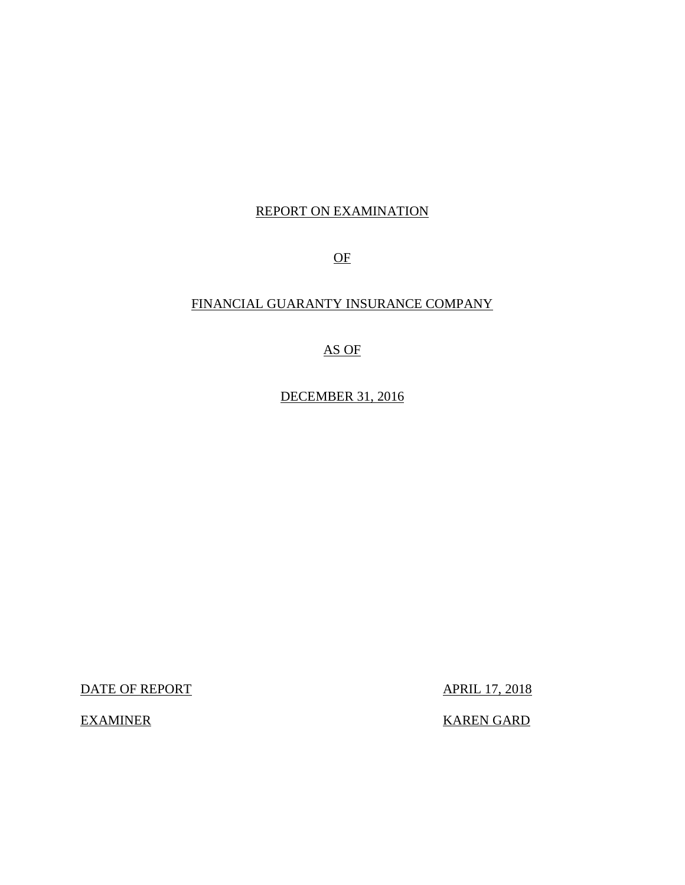## REPORT ON EXAMINATION

OF

## FINANCIAL GUARANTY INSURANCE COMPANY

AS OF

DECEMBER 31, 2016

DATE OF REPORT APRIL 17, 2018

EXAMINER KAREN GARD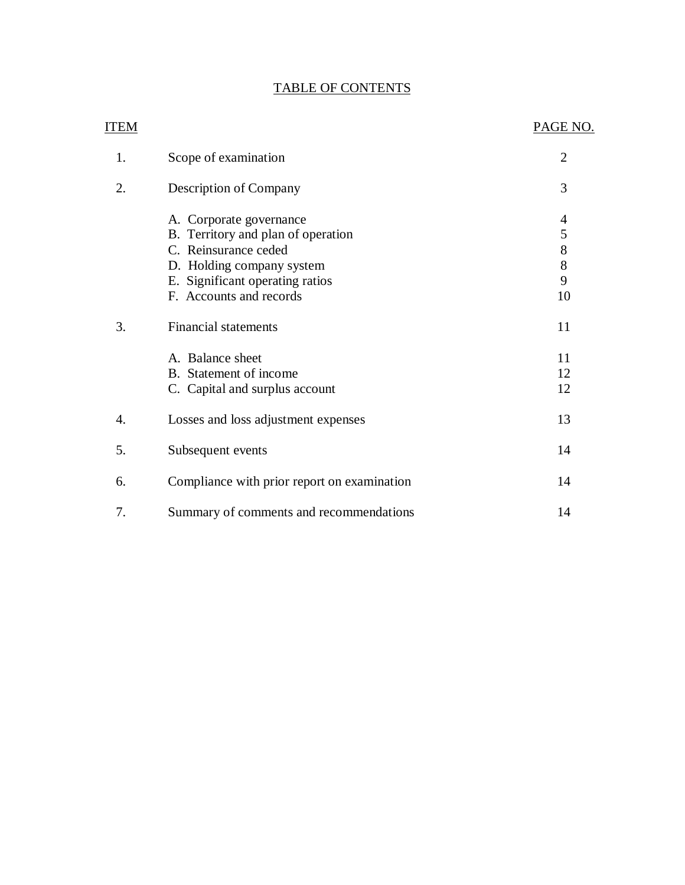## TABLE OF CONTENTS

| <b>ITEM</b> |                                             | PAGE NO.                 |
|-------------|---------------------------------------------|--------------------------|
| 1.          | Scope of examination                        | $\overline{2}$           |
| 2.          | Description of Company                      | 3                        |
|             | A. Corporate governance                     | $\overline{\mathcal{A}}$ |
|             | B. Territory and plan of operation          | 5                        |
|             | C. Reinsurance ceded                        | 8                        |
|             | D. Holding company system                   | 8                        |
|             | E. Significant operating ratios             | 9                        |
|             | F. Accounts and records                     | 10                       |
| 3.          | <b>Financial statements</b>                 | 11                       |
|             | A. Balance sheet                            | 11                       |
|             | B. Statement of income                      | 12                       |
|             | C. Capital and surplus account              | 12                       |
| 4.          | Losses and loss adjustment expenses         | 13                       |
| 5.          | Subsequent events                           | 14                       |
| 6.          | Compliance with prior report on examination | 14                       |
| 7.          | Summary of comments and recommendations     | 14                       |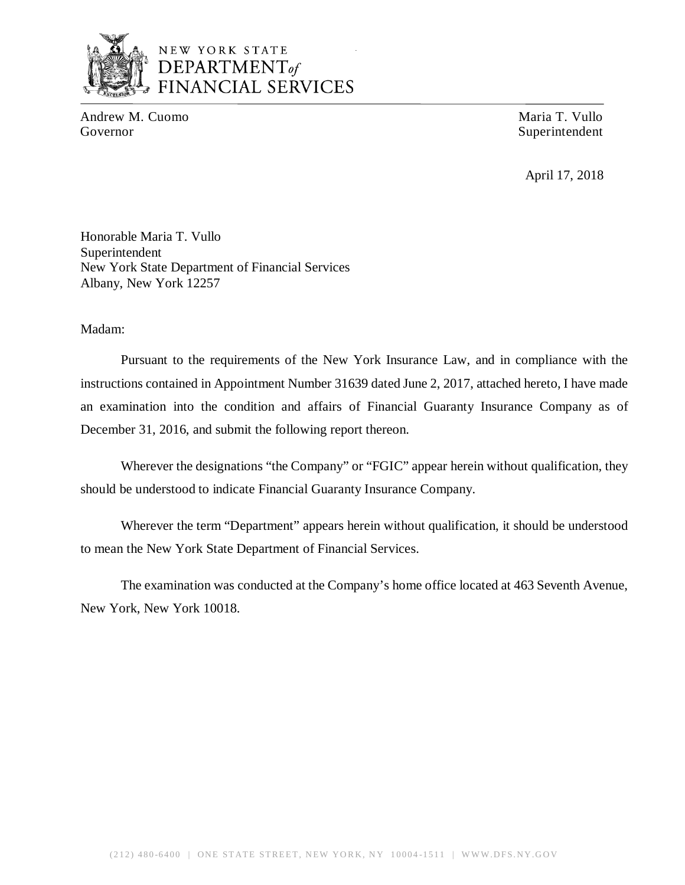

## NEW YORK STATE *DEPARTMENTof*  FINANCIAL SERVICES

Andrew M. Cuomo **Maria T. Vullo** Maria T. Vullo Governor Superintendent Superintendent

April 17, 2018

Honorable Maria T. Vullo Superintendent New York State Department of Financial Services Albany, New York 12257

Madam:

Pursuant to the requirements of the New York Insurance Law, and in compliance with the instructions contained in Appointment Number 31639 dated June 2, 2017, attached hereto, I have made an examination into the condition and affairs of Financial Guaranty Insurance Company as of December 31, 2016, and submit the following report thereon.

Wherever the designations "the Company" or "FGIC" appear herein without qualification, they should be understood to indicate Financial Guaranty Insurance Company.

Wherever the term "Department" appears herein without qualification, it should be understood to mean the New York State Department of Financial Services.

The examination was conducted at the Company's home office located at 463 Seventh Avenue, New York, New York 10018.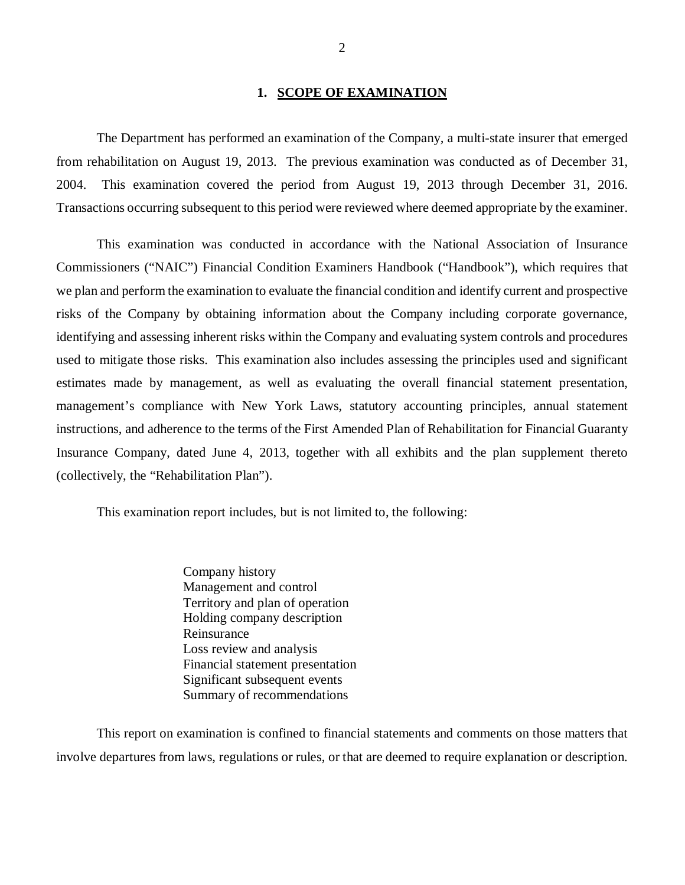#### **1. SCOPE OF EXAMINATION**

The Department has performed an examination of the Company*,* a multi-state insurer that emerged from rehabilitation on August 19, 2013. The previous examination was conducted as of December 31, 2004. This examination covered the period from August 19, 2013 through December 31, 2016. Transactions occurring subsequent to this period were reviewed where deemed appropriate by the examiner.

This examination was conducted in accordance with the National Association of Insurance Commissioners ("NAIC") Financial Condition Examiners Handbook ("Handbook"), which requires that we plan and perform the examination to evaluate the financial condition and identify current and prospective risks of the Company by obtaining information about the Company including corporate governance, identifying and assessing inherent risks within the Company and evaluating system controls and procedures used to mitigate those risks. This examination also includes assessing the principles used and significant estimates made by management, as well as evaluating the overall financial statement presentation, management's compliance with New York Laws, statutory accounting principles, annual statement instructions, and adherence to the terms of the First Amended Plan of Rehabilitation for Financial Guaranty Insurance Company, dated June 4, 2013, together with all exhibits and the plan supplement thereto (collectively, the "Rehabilitation Plan").

This examination report includes, but is not limited to, the following:

Company history Management and control Territory and plan of operation Holding company description Reinsurance Loss review and analysis Financial statement presentation Significant subsequent events Summary of recommendations

This report on examination is confined to financial statements and comments on those matters that involve departures from laws, regulations or rules, or that are deemed to require explanation or description.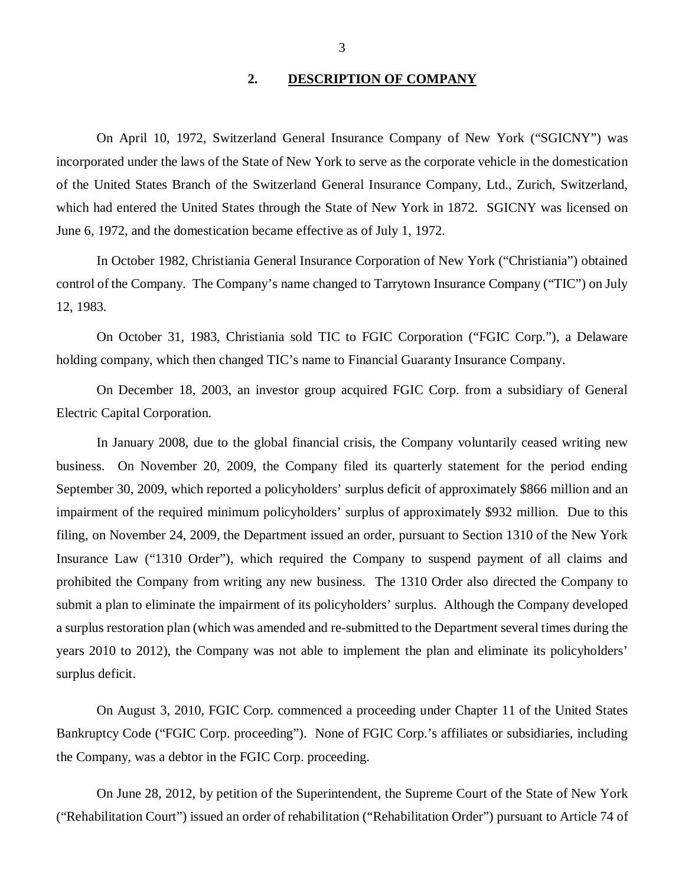#### **2. DESCRIPTION OF COMPANY**

On April 10, 1972, Switzerland General Insurance Company of New York ("SGICNY") was incorporated under the laws of the State of New York to serve as the corporate vehicle in the domestication of the United States Branch of the Switzerland General Insurance Company, Ltd., Zurich, Switzerland, which had entered the United States through the State of New York in 1872. SGICNY was licensed on June 6, 1972, and the domestication became effective as of July 1, 1972.

In October 1982, Christiania General Insurance Corporation of New York ("Christiania") obtained control of the Company. The Company's name changed to Tarrytown Insurance Company ("TIC") on July 12, 1983.

On October 31, 1983, Christiania sold TIC to FGIC Corporation ("FGIC Corp."), a Delaware holding company, which then changed TIC's name to Financial Guaranty Insurance Company.

On December 18, 2003, an investor group acquired FGIC Corp. from a subsidiary of General Electric Capital Corporation.

In January 2008, due to the global financial crisis, the Company voluntarily ceased writing new business. On November 20, 2009, the Company filed its quarterly statement for the period ending September 30, 2009, which reported a policyholders' surplus deficit of approximately \$866 million and an impairment of the required minimum policyholders' surplus of approximately \$932 million. Due to this filing, on November 24, 2009, the Department issued an order, pursuant to Section 1310 of the New York Insurance Law ("1310 Order"), which required the Company to suspend payment of all claims and prohibited the Company from writing any new business. The 1310 Order also directed the Company to submit a plan to eliminate the impairment of its policyholders' surplus. Although the Company developed a surplus restoration plan (which was amended and re-submitted to the Department several times during the years 2010 to 2012), the Company was not able to implement the plan and eliminate its policyholders' surplus deficit.

On August 3, 2010, FGIC Corp. commenced a proceeding under Chapter 11 of the United States Bankruptcy Code ("FGIC Corp. proceeding"). None of FGIC Corp.'s affiliates or subsidiaries, including the Company, was a debtor in the FGIC Corp. proceeding.

On June 28, 2012, by petition of the Superintendent, the Supreme Court of the State of New York ("Rehabilitation Court") issued an order of rehabilitation ("Rehabilitation Order") pursuant to Article 74 of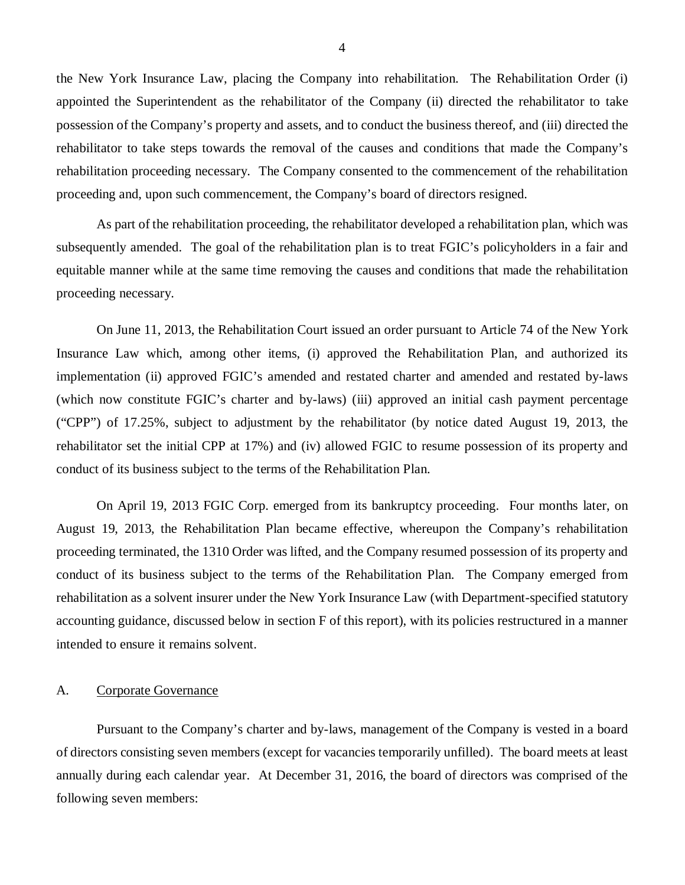<span id="page-5-0"></span>the New York Insurance Law, placing the Company into rehabilitation. The Rehabilitation Order (i) appointed the Superintendent as the rehabilitator of the Company (ii) directed the rehabilitator to take possession of the Company's property and assets, and to conduct the business thereof, and (iii) directed the rehabilitator to take steps towards the removal of the causes and conditions that made the Company's rehabilitation proceeding necessary. The Company consented to the commencement of the rehabilitation proceeding and, upon such commencement, the Company's board of directors resigned.

As part of the rehabilitation proceeding, the rehabilitator developed a rehabilitation plan, which was subsequently amended. The goal of the rehabilitation plan is to treat FGIC's policyholders in a fair and equitable manner while at the same time removing the causes and conditions that made the rehabilitation proceeding necessary.

On June 11, 2013, the Rehabilitation Court issued an order pursuant to Article 74 of the New York Insurance Law which, among other items, (i) approved the Rehabilitation Plan, and authorized its implementation (ii) approved FGIC's amended and restated charter and amended and restated by-laws (which now constitute FGIC's charter and by-laws) (iii) approved an initial cash payment percentage ("CPP") of 17.25%, subject to adjustment by the rehabilitator (by notice dated August 19, 2013, the rehabilitator set the initial CPP at 17%) and (iv) allowed FGIC to resume possession of its property and conduct of its business subject to the terms of the Rehabilitation Plan.

On April 19, 2013 FGIC Corp. emerged from its bankruptcy proceeding. Four months later, on August 19, 2013, the Rehabilitation Plan became effective, whereupon the Company's rehabilitation proceeding terminated, the 1310 Order was lifted, and the Company resumed possession of its property and conduct of its business subject to the terms of the Rehabilitation Plan. The Company emerged from rehabilitation as a solvent insurer under the New York Insurance Law (with Department-specified statutory accounting guidance, discussed below in section F of this report), with its policies restructured in a manner intended to ensure it remains solvent.

#### A. Corporate Governance

Pursuant to the Company's charter and by-laws, management of the Company is vested in a board of directors consisting seven members (except for vacancies temporarily unfilled). The board meets at least annually during each calendar year. At December 31, 2016, the board of directors was comprised of the following seven members: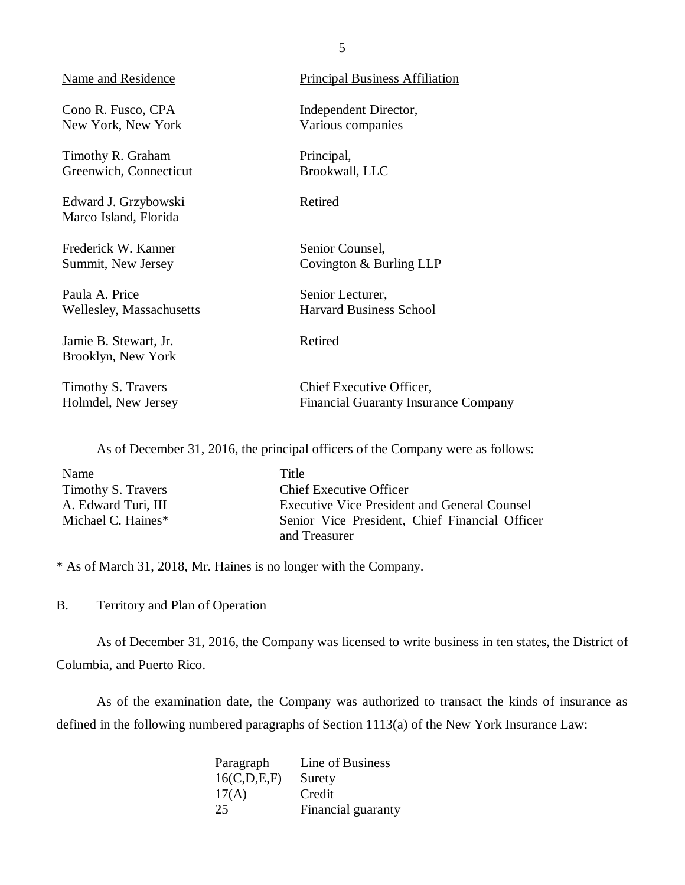<span id="page-6-0"></span>

| Name and Residence                            | <b>Principal Business Affiliation</b>       |
|-----------------------------------------------|---------------------------------------------|
| Cono R. Fusco, CPA                            | Independent Director,                       |
| New York, New York                            | Various companies                           |
| Timothy R. Graham                             | Principal,                                  |
| Greenwich, Connecticut                        | Brookwall, LLC                              |
| Edward J. Grzybowski<br>Marco Island, Florida | Retired                                     |
| Frederick W. Kanner                           | Senior Counsel,                             |
| Summit, New Jersey                            | Covington & Burling LLP                     |
| Paula A. Price                                | Senior Lecturer,                            |
| Wellesley, Massachusetts                      | <b>Harvard Business School</b>              |
| Jamie B. Stewart, Jr.<br>Brooklyn, New York   | Retired                                     |
| Timothy S. Travers                            | Chief Executive Officer,                    |
| Holmdel, New Jersey                           | <b>Financial Guaranty Insurance Company</b> |

As of December 31, 2016, the principal officers of the Company were as follows:

| Name                | Title                                          |
|---------------------|------------------------------------------------|
| Timothy S. Travers  | <b>Chief Executive Officer</b>                 |
| A. Edward Turi, III | Executive Vice President and General Counsel   |
| Michael C. Haines*  | Senior Vice President, Chief Financial Officer |
|                     | and Treasurer                                  |

\* As of March 31, 2018, Mr. Haines is no longer with the Company.

## B. Territory and Plan of Operation

As of December 31, 2016, the Company was licensed to write business in ten states, the District of Columbia, and Puerto Rico.

As of the examination date, the Company was authorized to transact the kinds of insurance as defined in the following numbered paragraphs of Section 1113(a) of the New York Insurance Law:

| Paragraph   | Line of Business   |
|-------------|--------------------|
| 16(C,D,E,F) | Surety             |
| 17(A)       | Credit             |
| 25          | Financial guaranty |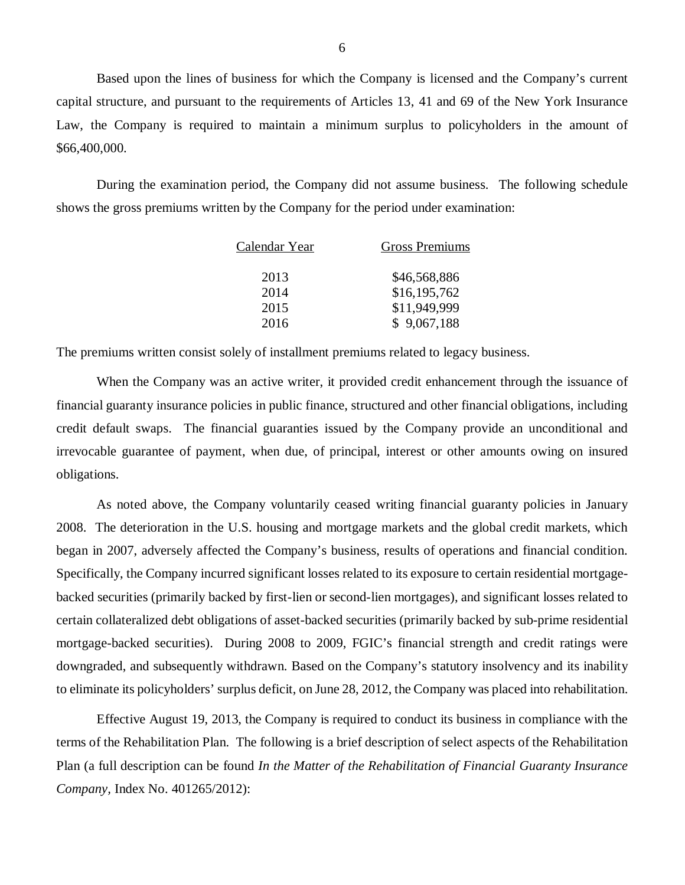Based upon the lines of business for which the Company is licensed and the Company's current capital structure, and pursuant to the requirements of Articles 13, 41 and 69 of the New York Insurance Law, the Company is required to maintain a minimum surplus to policyholders in the amount of \$66,400,000.

During the examination period, the Company did not assume business. The following schedule shows the gross premiums written by the Company for the period under examination:

| Calendar Year | <b>Gross Premiums</b> |
|---------------|-----------------------|
| 2013          | \$46,568,886          |
| 2014          | \$16,195,762          |
| 2015          | \$11,949,999          |
| 2016          | \$9,067,188           |

The premiums written consist solely of installment premiums related to legacy business.

When the Company was an active writer, it provided credit enhancement through the issuance of financial guaranty insurance policies in public finance, structured and other financial obligations, including credit default swaps. The financial guaranties issued by the Company provide an unconditional and irrevocable guarantee of payment, when due, of principal, interest or other amounts owing on insured obligations.

As noted above, the Company voluntarily ceased writing financial guaranty policies in January 2008. The deterioration in the U.S. housing and mortgage markets and the global credit markets, which began in 2007, adversely affected the Company's business, results of operations and financial condition. Specifically, the Company incurred significant losses related to its exposure to certain residential mortgagebacked securities (primarily backed by first-lien or second-lien mortgages), and significant losses related to certain collateralized debt obligations of asset-backed securities (primarily backed by sub-prime residential mortgage-backed securities). During 2008 to 2009, FGIC's financial strength and credit ratings were downgraded, and subsequently withdrawn. Based on the Company's statutory insolvency and its inability to eliminate its policyholders' surplus deficit, on June 28, 2012, the Company was placed into rehabilitation.

Effective August 19, 2013, the Company is required to conduct its business in compliance with the terms of the Rehabilitation Plan. The following is a brief description of select aspects of the Rehabilitation Plan (a full description can be found *In the Matter of the Rehabilitation of Financial Guaranty Insurance Company,* Index No. 401265/2012):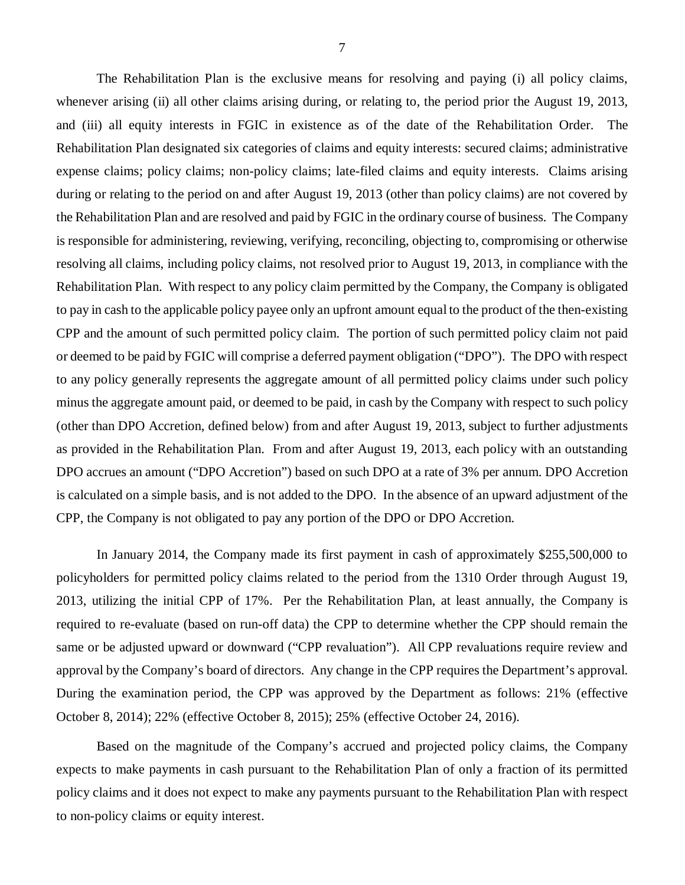The Rehabilitation Plan is the exclusive means for resolving and paying (i) all policy claims, whenever arising (ii) all other claims arising during, or relating to, the period prior the August 19, 2013, and (iii) all equity interests in FGIC in existence as of the date of the Rehabilitation Order. The Rehabilitation Plan designated six categories of claims and equity interests: secured claims; administrative expense claims; policy claims; non-policy claims; late-filed claims and equity interests. Claims arising during or relating to the period on and after August 19, 2013 (other than policy claims) are not covered by the Rehabilitation Plan and are resolved and paid by FGIC in the ordinary course of business. The Company is responsible for administering, reviewing, verifying, reconciling, objecting to, compromising or otherwise resolving all claims, including policy claims, not resolved prior to August 19, 2013, in compliance with the Rehabilitation Plan. With respect to any policy claim permitted by the Company, the Company is obligated to pay in cash to the applicable policy payee only an upfront amount equal to the product of the then-existing CPP and the amount of such permitted policy claim. The portion of such permitted policy claim not paid or deemed to be paid by FGIC will comprise a deferred payment obligation ("DPO"). The DPO with respect to any policy generally represents the aggregate amount of all permitted policy claims under such policy minus the aggregate amount paid, or deemed to be paid, in cash by the Company with respect to such policy (other than DPO Accretion, defined below) from and after August 19, 2013, subject to further adjustments as provided in the Rehabilitation Plan. From and after August 19, 2013, each policy with an outstanding DPO accrues an amount ("DPO Accretion") based on such DPO at a rate of 3% per annum. DPO Accretion is calculated on a simple basis, and is not added to the DPO. In the absence of an upward adjustment of the CPP, the Company is not obligated to pay any portion of the DPO or DPO Accretion.

In January 2014, the Company made its first payment in cash of approximately \$255,500,000 to policyholders for permitted policy claims related to the period from the 1310 Order through August 19, 2013, utilizing the initial CPP of 17%. Per the Rehabilitation Plan, at least annually, the Company is required to re-evaluate (based on run-off data) the CPP to determine whether the CPP should remain the same or be adjusted upward or downward ("CPP revaluation"). All CPP revaluations require review and approval by the Company's board of directors. Any change in the CPP requires the Department's approval. During the examination period, the CPP was approved by the Department as follows: 21% (effective October 8, 2014); 22% (effective October 8, 2015); 25% (effective October 24, 2016).

Based on the magnitude of the Company's accrued and projected policy claims, the Company expects to make payments in cash pursuant to the Rehabilitation Plan of only a fraction of its permitted policy claims and it does not expect to make any payments pursuant to the Rehabilitation Plan with respect to non-policy claims or equity interest.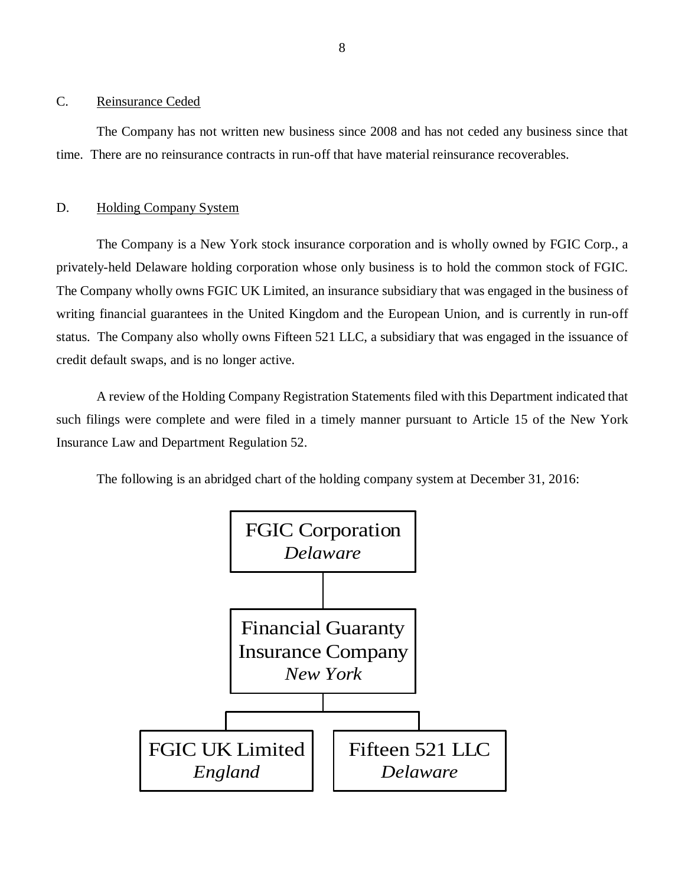#### <span id="page-9-0"></span>C. Reinsurance Ceded

The Company has not written new business since 2008 and has not ceded any business since that time. There are no reinsurance contracts in run-off that have material reinsurance recoverables.

#### D. Holding Company System

The Company is a New York stock insurance corporation and is wholly owned by FGIC Corp., a privately-held Delaware holding corporation whose only business is to hold the common stock of FGIC. The Company wholly owns FGIC UK Limited, an insurance subsidiary that was engaged in the business of writing financial guarantees in the United Kingdom and the European Union, and is currently in run-off status. The Company also wholly owns Fifteen 521 LLC, a subsidiary that was engaged in the issuance of credit default swaps, and is no longer active.

A review of the Holding Company Registration Statements filed with this Department indicated that such filings were complete and were filed in a timely manner pursuant to Article 15 of the New York Insurance Law and Department Regulation 52.

The following is an abridged chart of the holding company system at December 31, 2016:

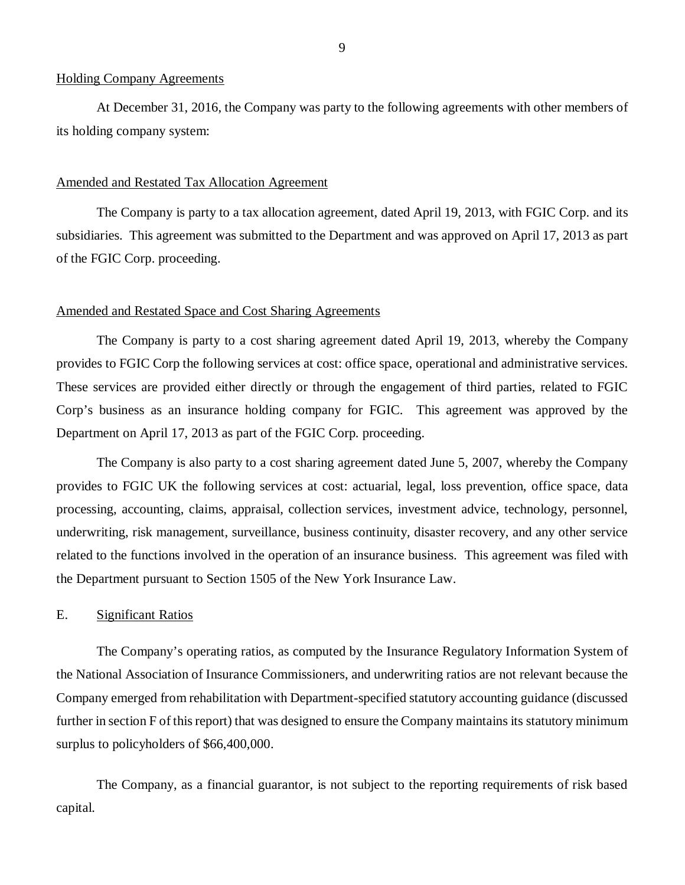#### <span id="page-10-0"></span>Holding Company Agreements

At December 31, 2016, the Company was party to the following agreements with other members of its holding company system:

#### Amended and Restated Tax Allocation Agreement

The Company is party to a tax allocation agreement, dated April 19, 2013, with FGIC Corp. and its subsidiaries. This agreement was submitted to the Department and was approved on April 17, 2013 as part of the FGIC Corp. proceeding.

#### Amended and Restated Space and Cost Sharing Agreements

The Company is party to a cost sharing agreement dated April 19, 2013, whereby the Company provides to FGIC Corp the following services at cost: office space, operational and administrative services. These services are provided either directly or through the engagement of third parties, related to FGIC Corp's business as an insurance holding company for FGIC. This agreement was approved by the Department on April 17, 2013 as part of the FGIC Corp. proceeding.

The Company is also party to a cost sharing agreement dated June 5, 2007, whereby the Company provides to FGIC UK the following services at cost: actuarial, legal, loss prevention, office space, data processing, accounting, claims, appraisal, collection services, investment advice, technology, personnel, underwriting, risk management, surveillance, business continuity, disaster recovery, and any other service related to the functions involved in the operation of an insurance business. This agreement was filed with the Department pursuant to Section 1505 of the New York Insurance Law.

#### E. Significant Ratios

The Company's operating ratios, as computed by the Insurance Regulatory Information System of the National Association of Insurance Commissioners, and underwriting ratios are not relevant because the Company emerged from rehabilitation with Department-specified statutory accounting guidance (discussed further in section F of this report) that was designed to ensure the Company maintains its statutory minimum surplus to policyholders of \$66,400,000.

The Company, as a financial guarantor, is not subject to the reporting requirements of risk based capital.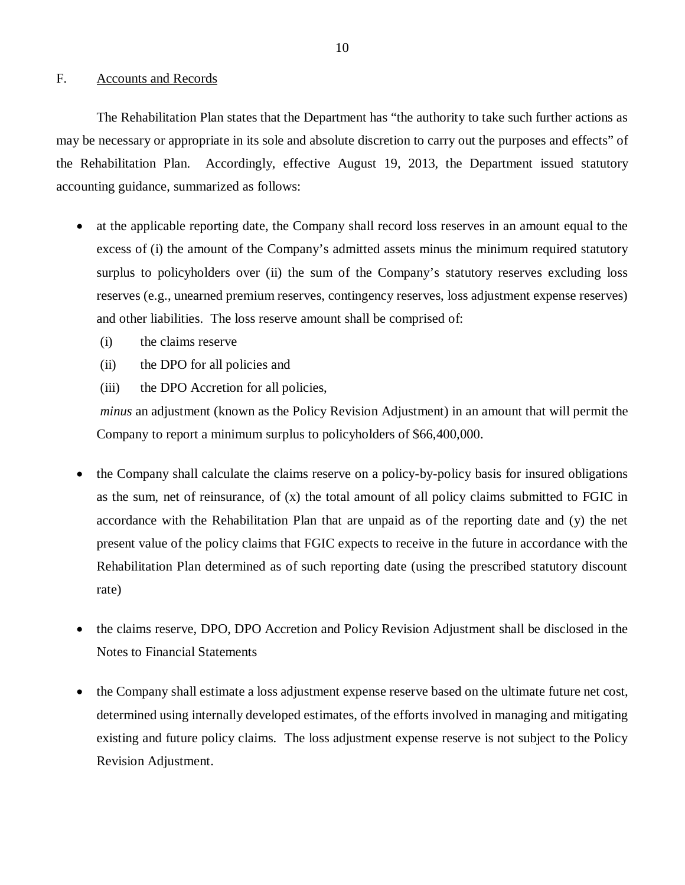#### <span id="page-11-0"></span>F. Accounts and Records

The Rehabilitation Plan states that the Department has "the authority to take such further actions as may be necessary or appropriate in its sole and absolute discretion to carry out the purposes and effects" of the Rehabilitation Plan. Accordingly, effective August 19, 2013, the Department issued statutory accounting guidance, summarized as follows:

- at the applicable reporting date, the Company shall record loss reserves in an amount equal to the excess of (i) the amount of the Company's admitted assets minus the minimum required statutory surplus to policyholders over (ii) the sum of the Company's statutory reserves excluding loss reserves (e.g., unearned premium reserves, contingency reserves, loss adjustment expense reserves) and other liabilities. The loss reserve amount shall be comprised of:
	- (i) the claims reserve
	- (ii) the DPO for all policies and
	- (iii) the DPO Accretion for all policies,

*minus* an adjustment (known as the Policy Revision Adjustment) in an amount that will permit the Company to report a minimum surplus to policyholders of \$66,400,000.

- the Company shall calculate the claims reserve on a policy-by-policy basis for insured obligations as the sum, net of reinsurance, of (x) the total amount of all policy claims submitted to FGIC in accordance with the Rehabilitation Plan that are unpaid as of the reporting date and (y) the net present value of the policy claims that FGIC expects to receive in the future in accordance with the Rehabilitation Plan determined as of such reporting date (using the prescribed statutory discount rate)
- the claims reserve, DPO, DPO Accretion and Policy Revision Adjustment shall be disclosed in the Notes to Financial Statements
- the Company shall estimate a loss adjustment expense reserve based on the ultimate future net cost, determined using internally developed estimates, of the efforts involved in managing and mitigating existing and future policy claims. The loss adjustment expense reserve is not subject to the Policy Revision Adjustment.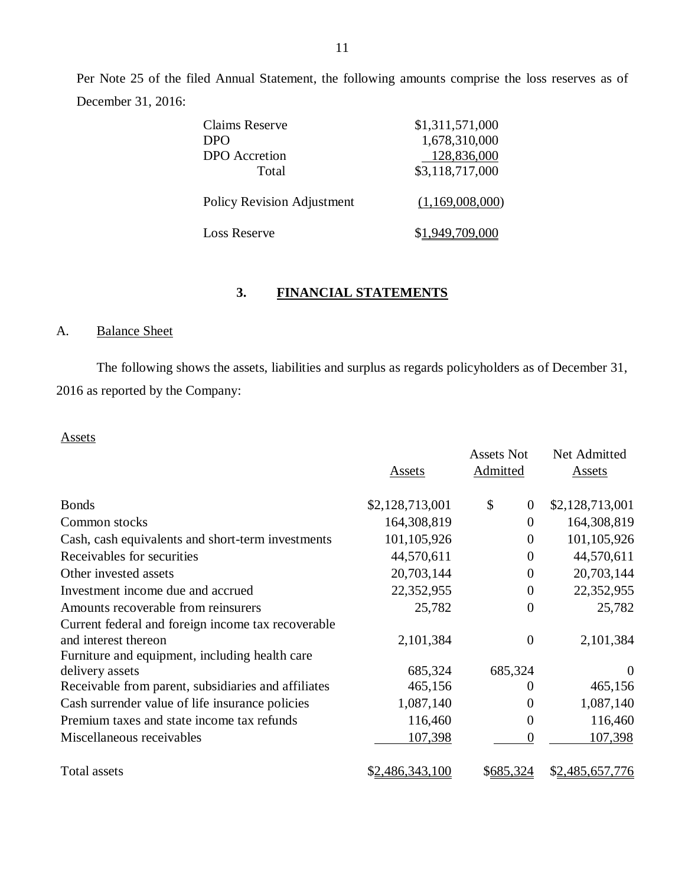Per Note 25 of the filed Annual Statement, the following amounts comprise the loss reserves as of December 31, 2016:

| Claims Reserve                    | \$1,311,571,000 |
|-----------------------------------|-----------------|
| D <sub>PO</sub>                   | 1,678,310,000   |
| <b>DPO</b> Accretion              | 128,836,000     |
| Total                             | \$3,118,717,000 |
| <b>Policy Revision Adjustment</b> | (1,169,008,000) |
| Loss Reserve                      | 1,949,709,000   |

## **3. FINANCIAL STATEMENTS**

## A. Balance Sheet

The following shows the assets, liabilities and surplus as regards policyholders as of December 31, 2016 as reported by the Company:

## Assets

|                                                     | Assets          | <b>Assets Not</b><br>Admitted | Net Admitted<br>Assets |
|-----------------------------------------------------|-----------------|-------------------------------|------------------------|
|                                                     |                 |                               |                        |
| <b>Bonds</b>                                        | \$2,128,713,001 | \$<br>$\theta$                | \$2,128,713,001        |
| Common stocks                                       | 164,308,819     | $\theta$                      | 164,308,819            |
| Cash, cash equivalents and short-term investments   | 101,105,926     | $\theta$                      | 101, 105, 926          |
| Receivables for securities                          | 44,570,611      | $\theta$                      | 44,570,611             |
| Other invested assets                               | 20,703,144      | $\theta$                      | 20,703,144             |
| Investment income due and accrued                   | 22,352,955      | $\theta$                      | 22,352,955             |
| Amounts recoverable from reinsurers                 | 25,782          | $\overline{0}$                | 25,782                 |
| Current federal and foreign income tax recoverable  |                 |                               |                        |
| and interest thereon                                | 2,101,384       | $\theta$                      | 2,101,384              |
| Furniture and equipment, including health care      |                 |                               |                        |
| delivery assets                                     | 685,324         | 685,324                       | $\Omega$               |
| Receivable from parent, subsidiaries and affiliates | 465,156         | 0                             | 465,156                |
| Cash surrender value of life insurance policies     | 1,087,140       | $\Omega$                      | 1,087,140              |
| Premium taxes and state income tax refunds          | 116,460         | $\theta$                      | 116,460                |
| Miscellaneous receivables                           | 107,398         | $\overline{0}$                | 107,398                |
| Total assets                                        | \$2,486,343,100 | \$685,324                     | \$2,485,657,776        |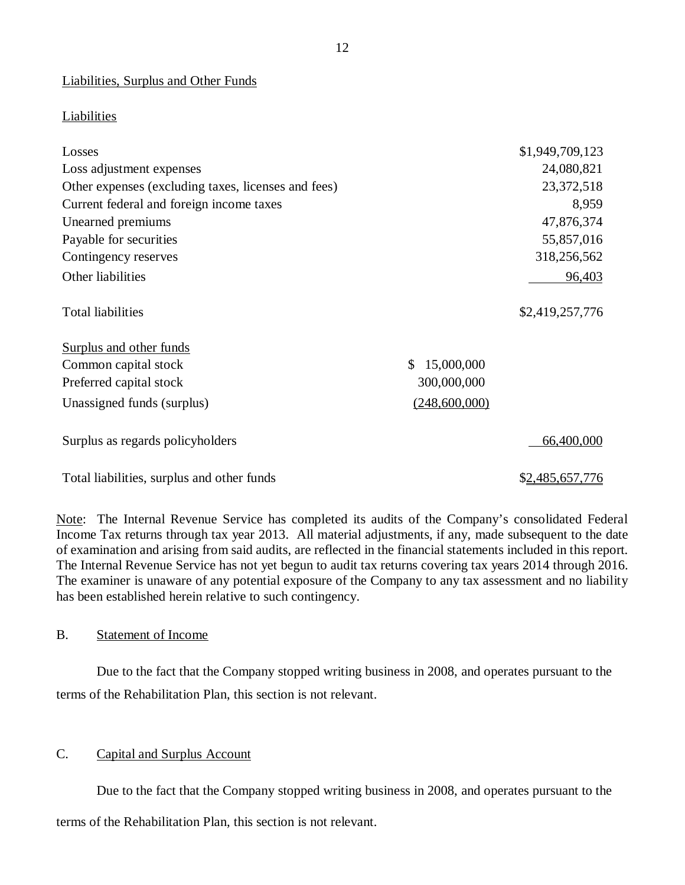Liabilities, Surplus and Other Funds

## Liabilities

| Losses                                              |                  | \$1,949,709,123 |
|-----------------------------------------------------|------------------|-----------------|
| Loss adjustment expenses                            |                  | 24,080,821      |
| Other expenses (excluding taxes, licenses and fees) |                  | 23,372,518      |
| Current federal and foreign income taxes            |                  | 8,959           |
| Unearned premiums                                   |                  | 47,876,374      |
| Payable for securities                              |                  | 55,857,016      |
| Contingency reserves                                |                  | 318,256,562     |
| Other liabilities                                   |                  | 96,403          |
| <b>Total liabilities</b>                            |                  | \$2,419,257,776 |
| Surplus and other funds                             |                  |                 |
| Common capital stock                                | \$<br>15,000,000 |                 |
| Preferred capital stock                             | 300,000,000      |                 |
| Unassigned funds (surplus)                          | (248,600,000)    |                 |
| Surplus as regards policyholders                    |                  | 66,400,000      |
| Total liabilities, surplus and other funds          |                  | \$2,485,657,776 |

Note: The Internal Revenue Service has completed its audits of the Company's consolidated Federal Income Tax returns through tax year 2013. All material adjustments, if any, made subsequent to the date of examination and arising from said audits, are reflected in the financial statements included in this report. The Internal Revenue Service has not yet begun to audit tax returns covering tax years 2014 through 2016. The examiner is unaware of any potential exposure of the Company to any tax assessment and no liability has been established herein relative to such contingency.

#### B. Statement of Income

Due to the fact that the Company stopped writing business in 2008, and operates pursuant to the terms of the Rehabilitation Plan, this section is not relevant.

## C. Capital and Surplus Account

Due to the fact that the Company stopped writing business in 2008, and operates pursuant to the

terms of the Rehabilitation Plan, this section is not relevant.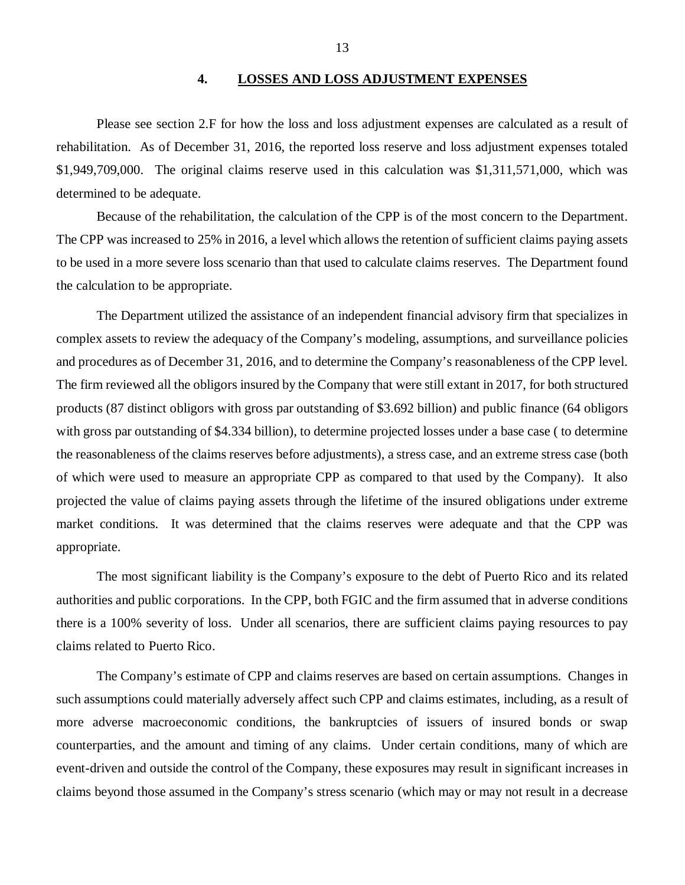#### **4. LOSSES AND LOSS ADJUSTMENT EXPENSES**

<span id="page-14-0"></span>Please see section 2.F for how the loss and loss adjustment expenses are calculated as a result of rehabilitation. As of December 31, 2016, the reported loss reserve and loss adjustment expenses totaled \$1,949,709,000. The original claims reserve used in this calculation was \$1,311,571,000, which was determined to be adequate.

Because of the rehabilitation, the calculation of the CPP is of the most concern to the Department. The CPP was increased to 25% in 2016, a level which allows the retention of sufficient claims paying assets to be used in a more severe loss scenario than that used to calculate claims reserves. The Department found the calculation to be appropriate.

The Department utilized the assistance of an independent financial advisory firm that specializes in complex assets to review the adequacy of the Company's modeling, assumptions, and surveillance policies and procedures as of December 31, 2016, and to determine the Company's reasonableness of the CPP level. The firm reviewed all the obligors insured by the Company that were still extant in 2017, for both structured products (87 distinct obligors with gross par outstanding of \$3.692 billion) and public finance (64 obligors with gross par outstanding of \$4.334 billion), to determine projected losses under a base case (to determine the reasonableness of the claims reserves before adjustments), a stress case, and an extreme stress case (both of which were used to measure an appropriate CPP as compared to that used by the Company). It also projected the value of claims paying assets through the lifetime of the insured obligations under extreme market conditions. It was determined that the claims reserves were adequate and that the CPP was appropriate.

The most significant liability is the Company's exposure to the debt of Puerto Rico and its related authorities and public corporations. In the CPP, both FGIC and the firm assumed that in adverse conditions there is a 100% severity of loss. Under all scenarios, there are sufficient claims paying resources to pay claims related to Puerto Rico.

The Company's estimate of CPP and claims reserves are based on certain assumptions. Changes in such assumptions could materially adversely affect such CPP and claims estimates, including, as a result of more adverse macroeconomic conditions, the bankruptcies of issuers of insured bonds or swap counterparties, and the amount and timing of any claims. Under certain conditions, many of which are event-driven and outside the control of the Company, these exposures may result in significant increases in claims beyond those assumed in the Company's stress scenario (which may or may not result in a decrease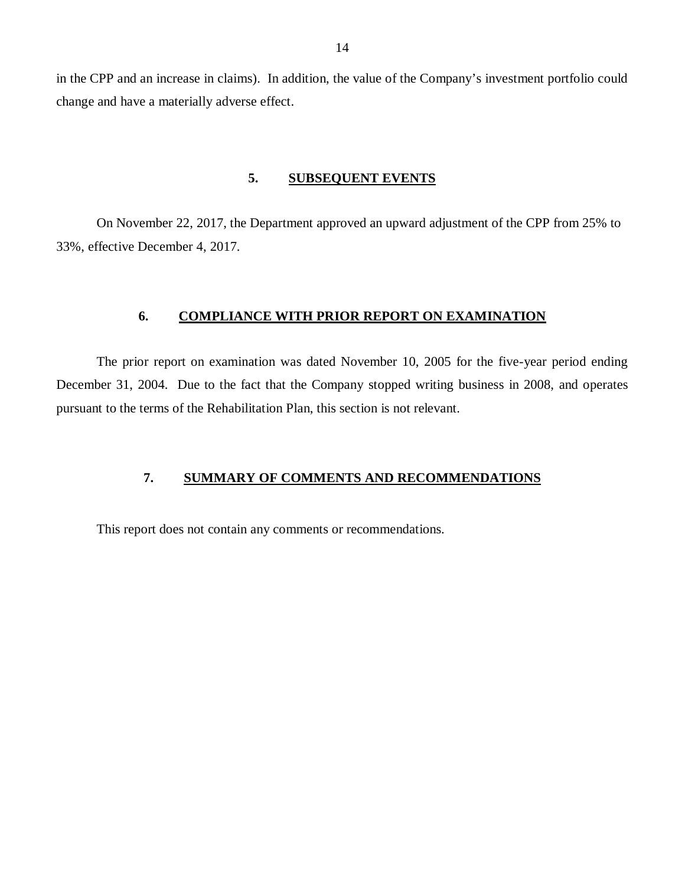<span id="page-15-0"></span>in the CPP and an increase in claims). In addition, the value of the Company's investment portfolio could change and have a materially adverse effect.

#### **5. SUBSEQUENT EVENTS**

On November 22, 2017, the Department approved an upward adjustment of the CPP from 25% to 33%, effective December 4, 2017.

## **6. COMPLIANCE WITH PRIOR REPORT ON EXAMINATION**

The prior report on examination was dated November 10, 2005 for the five-year period ending December 31, 2004. Due to the fact that the Company stopped writing business in 2008, and operates pursuant to the terms of the Rehabilitation Plan, this section is not relevant.

#### **7. SUMMARY OF COMMENTS AND RECOMMENDATIONS**

This report does not contain any comments or recommendations.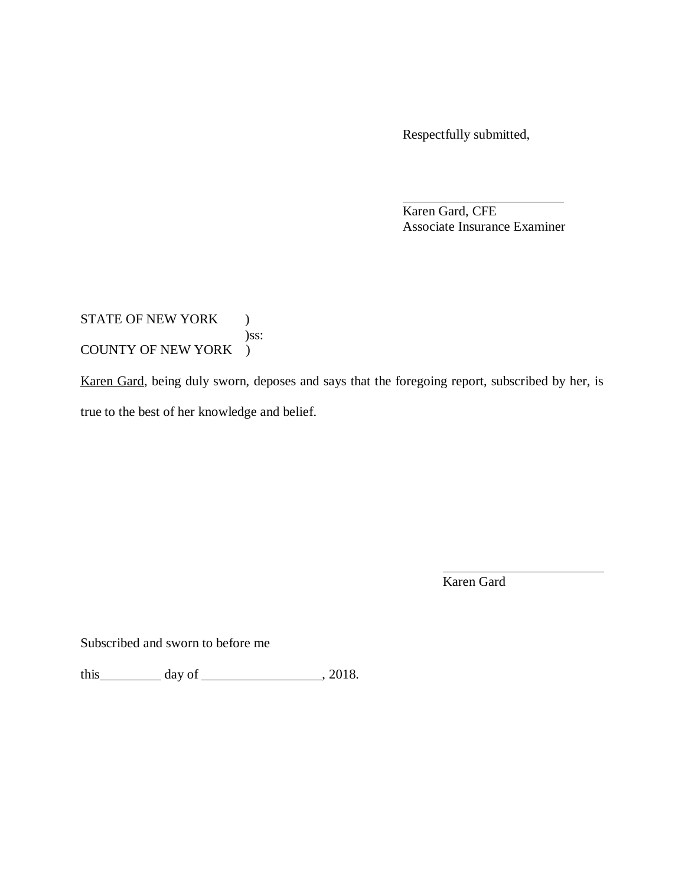Respectfully submitted,

Karen Gard, CFE Associate Insurance Examiner

## STATE OF NEW YORK ) )ss: COUNTY OF NEW YORK )

Karen Gard, being duly sworn, deposes and says that the foregoing report, subscribed by her, is true to the best of her knowledge and belief.

Karen Gard

Subscribed and sworn to before me

this  $\_\_\_\_\_\$  day of  $\_\_\_\_\_\_\$ , 2018.